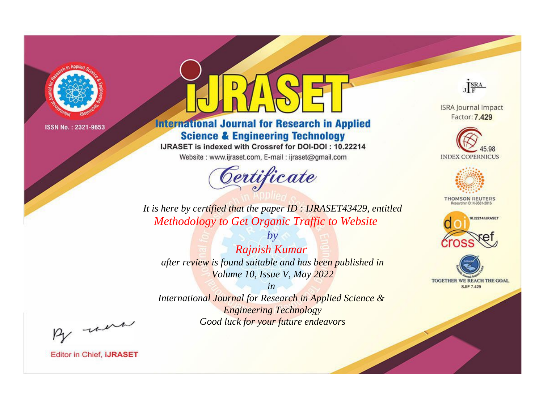

# **International Journal for Research in Applied Science & Engineering Technology**

IJRASET is indexed with Crossref for DOI-DOI: 10.22214

Website: www.ijraset.com, E-mail: ijraset@gmail.com



JERA

**ISRA Journal Impact** Factor: 7.429





**THOMSON REUTERS** 



TOGETHER WE REACH THE GOAL **SJIF 7.429** 

*It is here by certified that the paper ID : IJRASET43429, entitled Methodology to Get Organic Traffic to Website*

*by Rajnish Kumar after review is found suitable and has been published in Volume 10, Issue V, May 2022*

*in* 

*International Journal for Research in Applied Science & Engineering Technology Good luck for your future endeavors*

By morn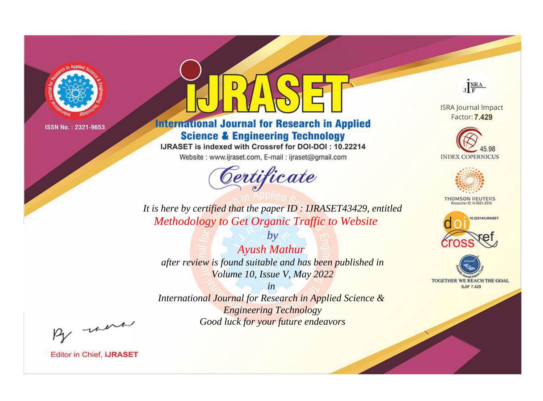

# **International Journal for Research in Applied Science & Engineering Technology**

IJRASET is indexed with Crossref for DOI-DOI: 10.22214

Website: www.ijraset.com, E-mail: ijraset@gmail.com



JERA

**ISRA Journal Impact** Factor: 7.429





**THOMSON REUTERS** 



TOGETHER WE REACH THE GOAL **SJIF 7.429** 

*It is here by certified that the paper ID : IJRASET43429, entitled Methodology to Get Organic Traffic to Website*

*by Ayush Mathur after review is found suitable and has been published in Volume 10, Issue V, May 2022*

*in* 

*International Journal for Research in Applied Science & Engineering Technology Good luck for your future endeavors*

By morn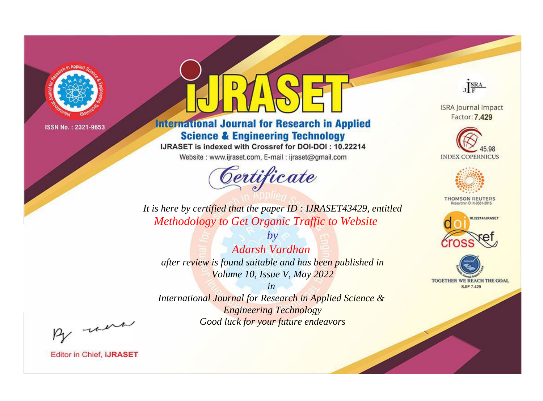

# **International Journal for Research in Applied Science & Engineering Technology**

IJRASET is indexed with Crossref for DOI-DOI: 10.22214

Website: www.ijraset.com, E-mail: ijraset@gmail.com



JERA

**ISRA Journal Impact** Factor: 7.429





**THOMSON REUTERS** 



TOGETHER WE REACH THE GOAL **SJIF 7.429** 

*It is here by certified that the paper ID : IJRASET43429, entitled Methodology to Get Organic Traffic to Website*

*by Adarsh Vardhan after review is found suitable and has been published in Volume 10, Issue V, May 2022*

*in* 

*International Journal for Research in Applied Science & Engineering Technology Good luck for your future endeavors*

By morn